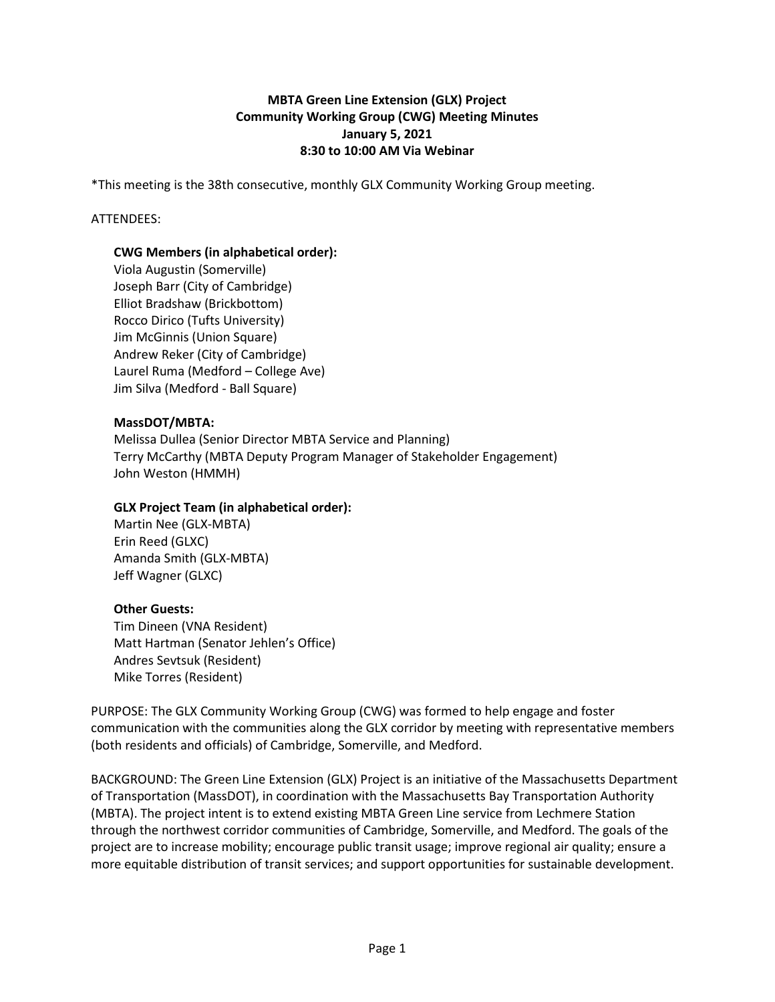# **MBTA Green Line Extension (GLX) Project Community Working Group (CWG) Meeting Minutes January 5, 2021 8:30 to 10:00 AM Via Webinar**

\*This meeting is the 38th consecutive, monthly GLX Community Working Group meeting.

## ATTENDEES:

# **CWG Members (in alphabetical order):**

Viola Augustin (Somerville) Joseph Barr (City of Cambridge) Elliot Bradshaw (Brickbottom) Rocco Dirico (Tufts University) Jim McGinnis (Union Square) Andrew Reker (City of Cambridge) Laurel Ruma (Medford – College Ave) Jim Silva (Medford - Ball Square)

#### **MassDOT/MBTA:**

Melissa Dullea (Senior Director MBTA Service and Planning) Terry McCarthy (MBTA Deputy Program Manager of Stakeholder Engagement) John Weston (HMMH)

## **GLX Project Team (in alphabetical order):**

Martin Nee (GLX-MBTA) Erin Reed (GLXC) Amanda Smith (GLX-MBTA) Jeff Wagner (GLXC)

#### **Other Guests:**

Tim Dineen (VNA Resident) Matt Hartman (Senator Jehlen's Office) Andres Sevtsuk (Resident) Mike Torres (Resident)

PURPOSE: The GLX Community Working Group (CWG) was formed to help engage and foster communication with the communities along the GLX corridor by meeting with representative members (both residents and officials) of Cambridge, Somerville, and Medford.

BACKGROUND: The Green Line Extension (GLX) Project is an initiative of the Massachusetts Department of Transportation (MassDOT), in coordination with the Massachusetts Bay Transportation Authority (MBTA). The project intent is to extend existing MBTA Green Line service from Lechmere Station through the northwest corridor communities of Cambridge, Somerville, and Medford. The goals of the project are to increase mobility; encourage public transit usage; improve regional air quality; ensure a more equitable distribution of transit services; and support opportunities for sustainable development.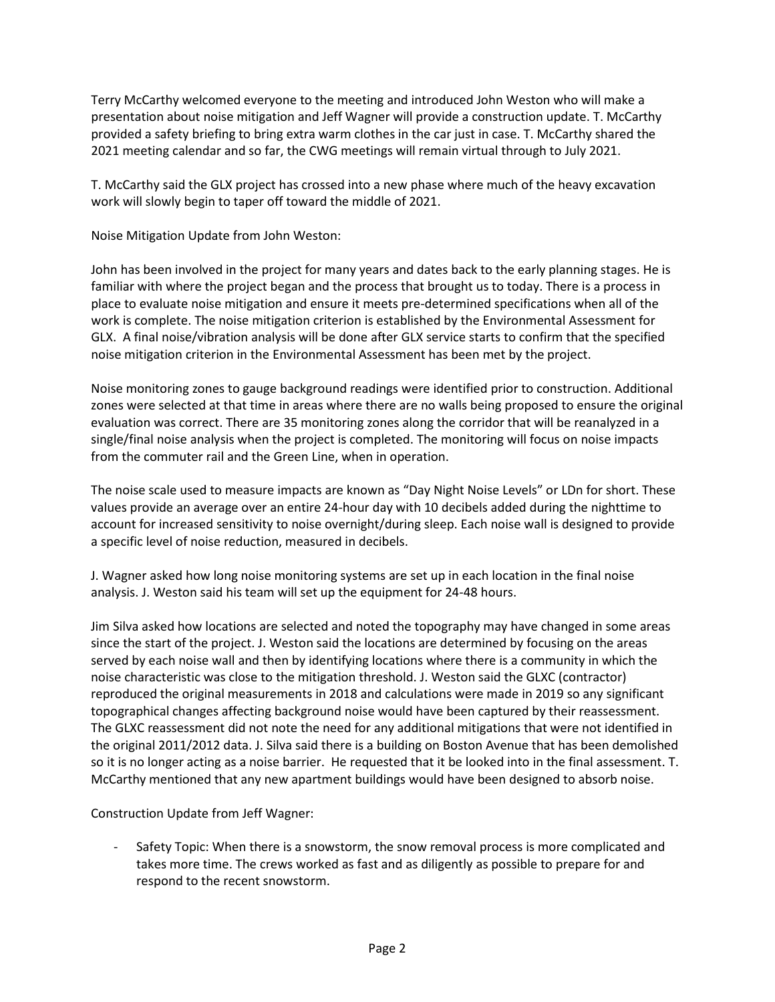Terry McCarthy welcomed everyone to the meeting and introduced John Weston who will make a presentation about noise mitigation and Jeff Wagner will provide a construction update. T. McCarthy provided a safety briefing to bring extra warm clothes in the car just in case. T. McCarthy shared the 2021 meeting calendar and so far, the CWG meetings will remain virtual through to July 2021.

T. McCarthy said the GLX project has crossed into a new phase where much of the heavy excavation work will slowly begin to taper off toward the middle of 2021.

Noise Mitigation Update from John Weston:

John has been involved in the project for many years and dates back to the early planning stages. He is familiar with where the project began and the process that brought us to today. There is a process in place to evaluate noise mitigation and ensure it meets pre-determined specifications when all of the work is complete. The noise mitigation criterion is established by the Environmental Assessment for GLX. A final noise/vibration analysis will be done after GLX service starts to confirm that the specified noise mitigation criterion in the Environmental Assessment has been met by the project.

Noise monitoring zones to gauge background readings were identified prior to construction. Additional zones were selected at that time in areas where there are no walls being proposed to ensure the original evaluation was correct. There are 35 monitoring zones along the corridor that will be reanalyzed in a single/final noise analysis when the project is completed. The monitoring will focus on noise impacts from the commuter rail and the Green Line, when in operation.

The noise scale used to measure impacts are known as "Day Night Noise Levels" or LDn for short. These values provide an average over an entire 24-hour day with 10 decibels added during the nighttime to account for increased sensitivity to noise overnight/during sleep. Each noise wall is designed to provide a specific level of noise reduction, measured in decibels.

J. Wagner asked how long noise monitoring systems are set up in each location in the final noise analysis. J. Weston said his team will set up the equipment for 24-48 hours.

Jim Silva asked how locations are selected and noted the topography may have changed in some areas since the start of the project. J. Weston said the locations are determined by focusing on the areas served by each noise wall and then by identifying locations where there is a community in which the noise characteristic was close to the mitigation threshold. J. Weston said the GLXC (contractor) reproduced the original measurements in 2018 and calculations were made in 2019 so any significant topographical changes affecting background noise would have been captured by their reassessment. The GLXC reassessment did not note the need for any additional mitigations that were not identified in the original 2011/2012 data. J. Silva said there is a building on Boston Avenue that has been demolished so it is no longer acting as a noise barrier. He requested that it be looked into in the final assessment. T. McCarthy mentioned that any new apartment buildings would have been designed to absorb noise.

Construction Update from Jeff Wagner:

Safety Topic: When there is a snowstorm, the snow removal process is more complicated and takes more time. The crews worked as fast and as diligently as possible to prepare for and respond to the recent snowstorm.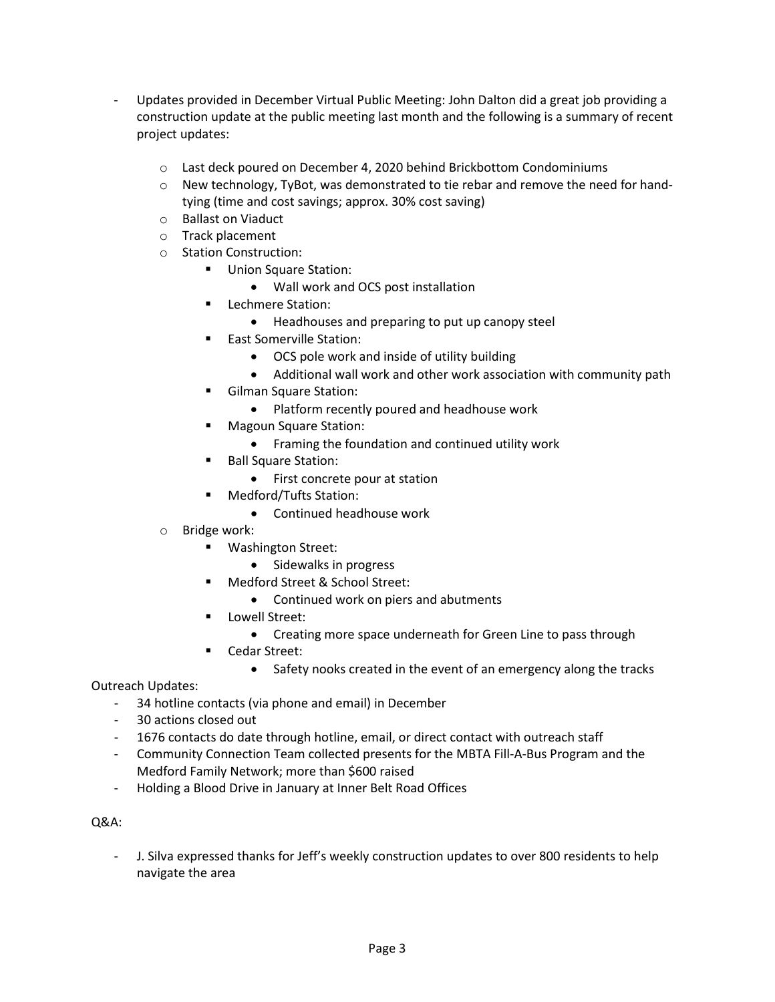- Updates provided in December Virtual Public Meeting: John Dalton did a great job providing a construction update at the public meeting last month and the following is a summary of recent project updates:
	- o Last deck poured on December 4, 2020 behind Brickbottom Condominiums
	- $\circ$  New technology, TyBot, was demonstrated to tie rebar and remove the need for handtying (time and cost savings; approx. 30% cost saving)
	- o Ballast on Viaduct
	- o Track placement
	- o Station Construction:
		- **Union Square Station:** 
			- Wall work and OCS post installation
		- Lechmere Station:
			- Headhouses and preparing to put up canopy steel
		- East Somerville Station:
			- OCS pole work and inside of utility building
			- Additional wall work and other work association with community path
		- Gilman Square Station:
			- Platform recently poured and headhouse work
		- Magoun Square Station:
			- Framing the foundation and continued utility work
		- Ball Square Station:
			- First concrete pour at station
		- Medford/Tufts Station:
			- Continued headhouse work
	- o Bridge work:
		- Washington Street:
			- Sidewalks in progress
			- Medford Street & School Street:
				- Continued work on piers and abutments
		- **E** Lowell Street:
			- Creating more space underneath for Green Line to pass through
		- Cedar Street:
			- Safety nooks created in the event of an emergency along the tracks

Outreach Updates:

- 34 hotline contacts (via phone and email) in December
- 30 actions closed out
- 1676 contacts do date through hotline, email, or direct contact with outreach staff
- Community Connection Team collected presents for the MBTA Fill-A-Bus Program and the Medford Family Network; more than \$600 raised
- Holding a Blood Drive in January at Inner Belt Road Offices

#### Q&A:

- J. Silva expressed thanks for Jeff's weekly construction updates to over 800 residents to help navigate the area